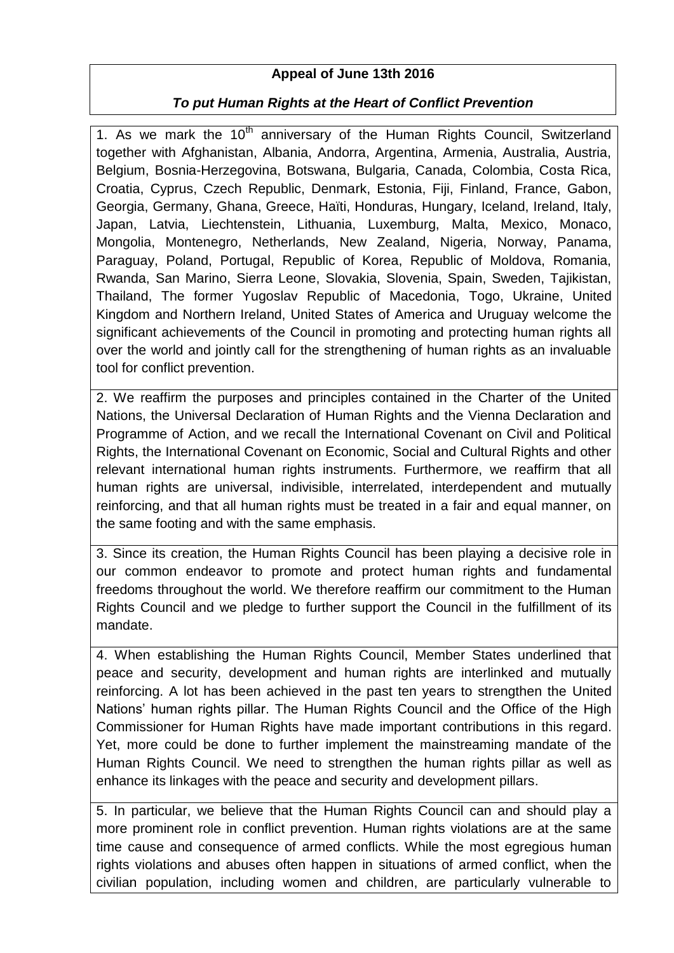## **Appeal of June 13th 2016**

## *To put Human Rights at the Heart of Conflict Prevention*

1. As we mark the  $10<sup>th</sup>$  anniversary of the Human Rights Council, Switzerland together with Afghanistan, Albania, Andorra, Argentina, Armenia, Australia, Austria, Belgium, Bosnia-Herzegovina, Botswana, Bulgaria, Canada, Colombia, Costa Rica, Croatia, Cyprus, Czech Republic, Denmark, Estonia, Fiji, Finland, France, Gabon, Georgia, Germany, Ghana, Greece, Haïti, Honduras, Hungary, Iceland, Ireland, Italy, Japan, Latvia, Liechtenstein, Lithuania, Luxemburg, Malta, Mexico, Monaco, Mongolia, Montenegro, Netherlands, New Zealand, Nigeria, Norway, Panama, Paraguay, Poland, Portugal, Republic of Korea, Republic of Moldova, Romania, Rwanda, San Marino, Sierra Leone, Slovakia, Slovenia, Spain, Sweden, Tajikistan, Thailand, The former Yugoslav Republic of Macedonia, Togo, Ukraine, United Kingdom and Northern Ireland, United States of America and Uruguay welcome the significant achievements of the Council in promoting and protecting human rights all over the world and jointly call for the strengthening of human rights as an invaluable tool for conflict prevention.

2. We reaffirm the purposes and principles contained in the Charter of the United Nations, the Universal Declaration of Human Rights and the Vienna Declaration and Programme of Action, and we recall the International Covenant on Civil and Political Rights, the International Covenant on Economic, Social and Cultural Rights and other relevant international human rights instruments. Furthermore, we reaffirm that all human rights are universal, indivisible, interrelated, interdependent and mutually reinforcing, and that all human rights must be treated in a fair and equal manner, on the same footing and with the same emphasis.

3. Since its creation, the Human Rights Council has been playing a decisive role in our common endeavor to promote and protect human rights and fundamental freedoms throughout the world. We therefore reaffirm our commitment to the Human Rights Council and we pledge to further support the Council in the fulfillment of its mandate.

4. When establishing the Human Rights Council, Member States underlined that peace and security, development and human rights are interlinked and mutually reinforcing. A lot has been achieved in the past ten years to strengthen the United Nations' human rights pillar. The Human Rights Council and the Office of the High Commissioner for Human Rights have made important contributions in this regard. Yet, more could be done to further implement the mainstreaming mandate of the Human Rights Council. We need to strengthen the human rights pillar as well as enhance its linkages with the peace and security and development pillars.

5. In particular, we believe that the Human Rights Council can and should play a more prominent role in conflict prevention. Human rights violations are at the same time cause and consequence of armed conflicts. While the most egregious human rights violations and abuses often happen in situations of armed conflict, when the civilian population, including women and children, are particularly vulnerable to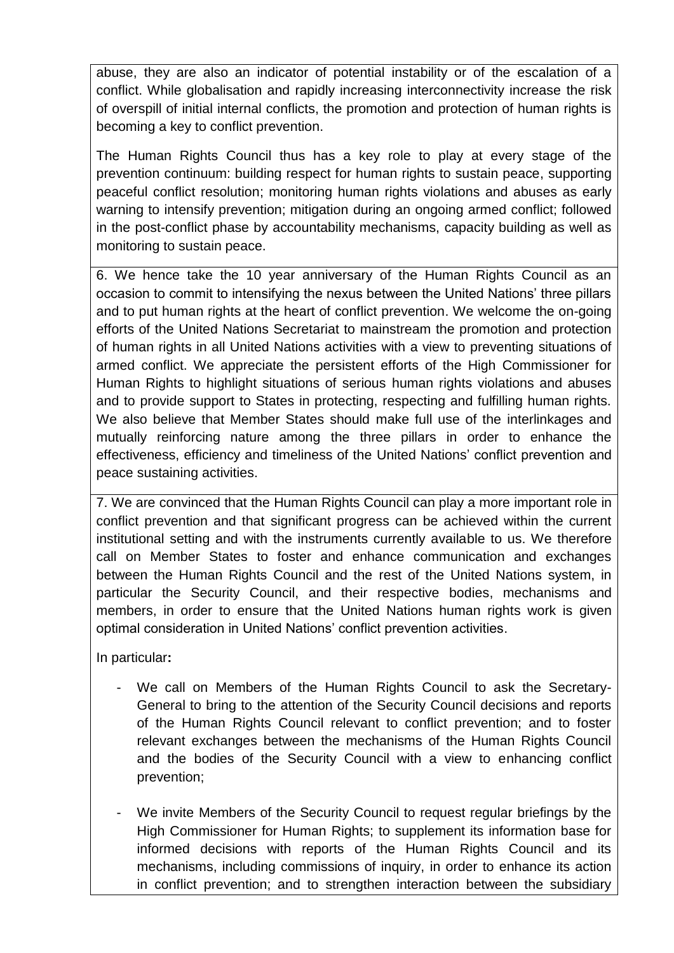abuse, they are also an indicator of potential instability or of the escalation of a conflict. While globalisation and rapidly increasing interconnectivity increase the risk of overspill of initial internal conflicts, the promotion and protection of human rights is becoming a key to conflict prevention.

The Human Rights Council thus has a key role to play at every stage of the prevention continuum: building respect for human rights to sustain peace, supporting peaceful conflict resolution; monitoring human rights violations and abuses as early warning to intensify prevention; mitigation during an ongoing armed conflict; followed in the post-conflict phase by accountability mechanisms, capacity building as well as monitoring to sustain peace.

6. We hence take the 10 year anniversary of the Human Rights Council as an occasion to commit to intensifying the nexus between the United Nations' three pillars and to put human rights at the heart of conflict prevention. We welcome the on-going efforts of the United Nations Secretariat to mainstream the promotion and protection of human rights in all United Nations activities with a view to preventing situations of armed conflict. We appreciate the persistent efforts of the High Commissioner for Human Rights to highlight situations of serious human rights violations and abuses and to provide support to States in protecting, respecting and fulfilling human rights. We also believe that Member States should make full use of the interlinkages and mutually reinforcing nature among the three pillars in order to enhance the effectiveness, efficiency and timeliness of the United Nations' conflict prevention and peace sustaining activities.

7. We are convinced that the Human Rights Council can play a more important role in conflict prevention and that significant progress can be achieved within the current institutional setting and with the instruments currently available to us. We therefore call on Member States to foster and enhance communication and exchanges between the Human Rights Council and the rest of the United Nations system, in particular the Security Council, and their respective bodies, mechanisms and members, in order to ensure that the United Nations human rights work is given optimal consideration in United Nations' conflict prevention activities.

In particular**:**

- We call on Members of the Human Rights Council to ask the Secretary-General to bring to the attention of the Security Council decisions and reports of the Human Rights Council relevant to conflict prevention; and to foster relevant exchanges between the mechanisms of the Human Rights Council and the bodies of the Security Council with a view to enhancing conflict prevention;
- We invite Members of the Security Council to request regular briefings by the High Commissioner for Human Rights; to supplement its information base for informed decisions with reports of the Human Rights Council and its mechanisms, including commissions of inquiry, in order to enhance its action in conflict prevention; and to strengthen interaction between the subsidiary